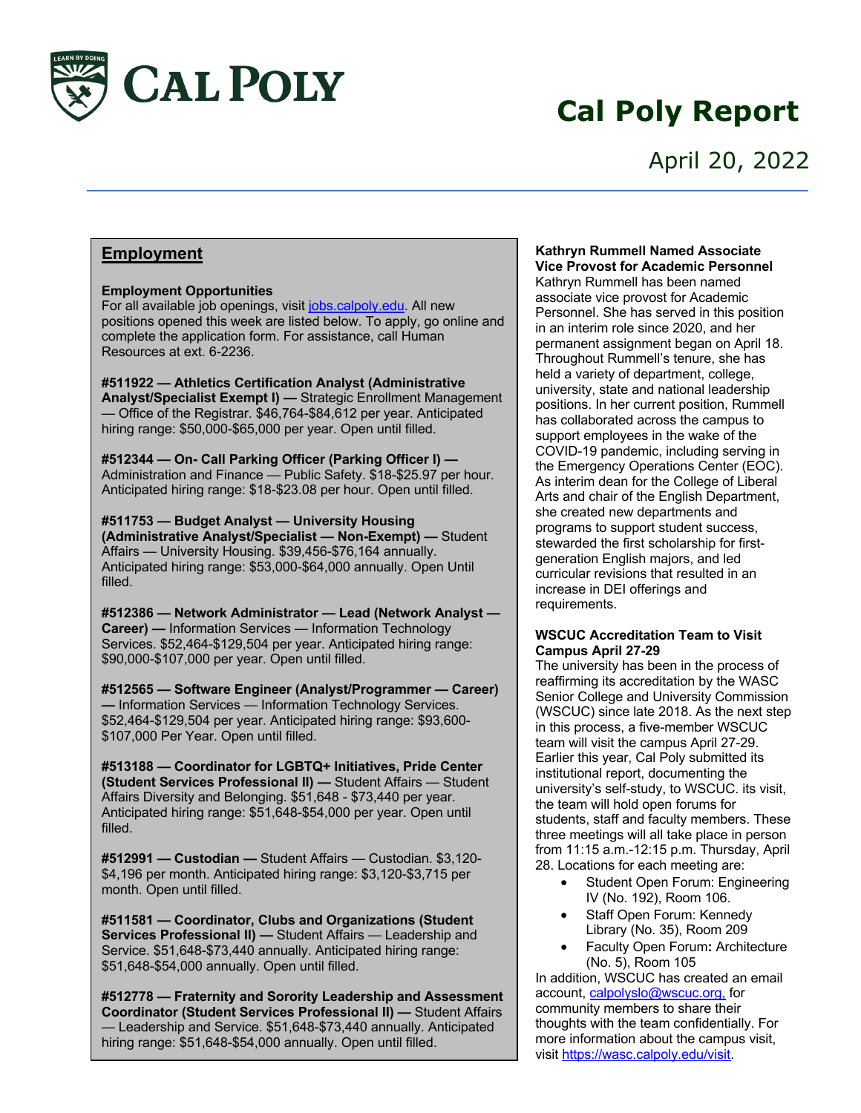

# **Cal Poly Report**

### April 20, 2022

### **Employment**

#### **Employment Opportunities**

For all available job openings, visit jobs.calpoly.edu. All new positions opened this week are listed below. To apply, go online and complete the application form. For assistance, call Human Resources at ext. 6-2236.

**#511922 — Athletics Certification Analyst (Administrative Analyst/Specialist Exempt I) —** Strategic Enrollment Management — Office of the Registrar. \$46,764-\$84,612 per year. Anticipated hiring range: \$50,000-\$65,000 per year. Open until filled.

**#512344 — On- Call Parking Officer (Parking Officer I) —** Administration and Finance — Public Safety. \$18-\$25.97 per hour. Anticipated hiring range: \$18-\$23.08 per hour. Open until filled.

**#511753 — Budget Analyst — University Housing (Administrative Analyst/Specialist — Non-Exempt) —** Student Affairs — University Housing. \$39,456-\$76,164 annually. Anticipated hiring range: \$53,000-\$64,000 annually. Open Until filled.

**#512386 — Network Administrator — Lead (Network Analyst — Career) —** Information Services — Information Technology Services. \$52,464-\$129,504 per year. Anticipated hiring range: \$90,000-\$107,000 per year. Open until filled.

**#512565 — Software Engineer (Analyst/Programmer — Career) —** Information Services — Information Technology Services. \$52,464-\$129,504 per year. Anticipated hiring range: \$93,600- \$107,000 Per Year. Open until filled.

**#513188 — Coordinator for LGBTQ+ Initiatives, Pride Center (Student Services Professional II) —** Student Affairs — Student Affairs Diversity and Belonging. \$51,648 - \$73,440 per year. Anticipated hiring range: \$51,648-\$54,000 per year. Open until filled.

**#512991 — Custodian —** Student Affairs — Custodian. \$3,120- \$4,196 per month. Anticipated hiring range: \$3,120-\$3,715 per month. Open until filled.

**#511581 — Coordinator, Clubs and Organizations (Student Services Professional II) —** Student Affairs — Leadership and Service. \$51,648-\$73,440 annually. Anticipated hiring range: \$51,648-\$54,000 annually. Open until filled.

**#512778 — Fraternity and Sorority Leadership and Assessment Coordinator (Student Services Professional II) —** Student Affairs — Leadership and Service. \$51,648-\$73,440 annually. Anticipated hiring range: \$51,648-\$54,000 annually. Open until filled.

#### **Kathryn Rummell Named Associate Vice Provost for Academic Personnel**

Kathryn Rummell has been named associate vice provost for Academic Personnel. She has served in this position in an interim role since 2020, and her permanent assignment began on April 18. Throughout Rummell's tenure, she has held a variety of department, college, university, state and national leadership positions. In her current position, Rummell has collaborated across the campus to support employees in the wake of the COVID-19 pandemic, including serving in the Emergency Operations Center (EOC). As interim dean for the College of Liberal Arts and chair of the English Department, she created new departments and programs to support student success, stewarded the first scholarship for firstgeneration English majors, and led curricular revisions that resulted in an increase in DEI offerings and requirements.

#### **WSCUC Accreditation Team to Visit Campus April 27-29**

The university has been in the process of reaffirming its accreditation by the WASC Senior College and University Commission (WSCUC) since late 2018. As the next step in this process, a five-member WSCUC team will visit the campus April 27-29. Earlier this year, Cal Poly submitted its institutional report, documenting the university's self-study, to WSCUC. its visit, the team will hold open forums for students, staff and faculty members. These three meetings will all take place in person from 11:15 a.m.-12:15 p.m. Thursday, April 28. Locations for each meeting are:

- Student Open Forum: Engineering IV (No. 192), Room 106.
- Staff Open Forum: Kennedy Library (No. 35), Room 209
- Faculty Open Forum**:** Architecture (No. 5), Room 105

In addition, WSCUC has created an email account, calpolyslo@wscuc.org, for community members to share their thoughts with the team confidentially. For more information about the campus visit, visit https://wasc.calpoly.edu/visit.